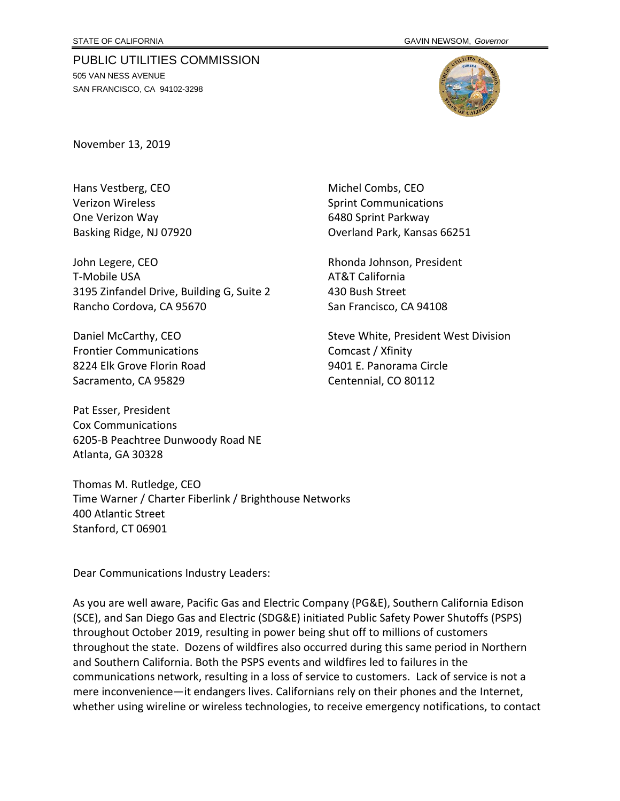## PUBLIC UTILITIES COMMISSION

505 VAN NESS AVENUE SAN FRANCISCO, CA 94102-3298



November 13, 2019

Hans Vestberg, CEO Michel Combs, CEO Verizon Wireless **Sprint Communications** Sprint Communications One Verizon Way 6480 Sprint Parkway

John Legere, CEO **Rhonda Johnson, President** T-Mobile USA **AT&T** California 3195 Zinfandel Drive, Building G, Suite 2 430 Bush Street Rancho Cordova, CA 95670 San Francisco, CA 94108

Frontier Communications **Company** Comcast / Xfinity 8224 Elk Grove Florin Road 9401 E. Panorama Circle Sacramento, CA 95829 Centennial, CO 80112

Pat Esser, President Cox Communications 6205-B Peachtree Dunwoody Road NE Atlanta, GA 30328

Thomas M. Rutledge, CEO Time Warner / Charter Fiberlink / Brighthouse Networks 400 Atlantic Street Stanford, CT 06901

Dear Communications Industry Leaders:

As you are well aware, Pacific Gas and Electric Company (PG&E), Southern California Edison (SCE), and San Diego Gas and Electric (SDG&E) initiated Public Safety Power Shutoffs (PSPS) throughout October 2019, resulting in power being shut off to millions of customers throughout the state. Dozens of wildfires also occurred during this same period in Northern and Southern California. Both the PSPS events and wildfires led to failures in the communications network, resulting in a loss of service to customers. Lack of service is not a mere inconvenience—it endangers lives. Californians rely on their phones and the Internet, whether using wireline or wireless technologies, to receive emergency notifications, to contact

Basking Ridge, NJ 07920 **Drawing Basking Ridge, NJ 07920** Overland Park, Kansas 66251

Daniel McCarthy, CEO Steve White, President West Division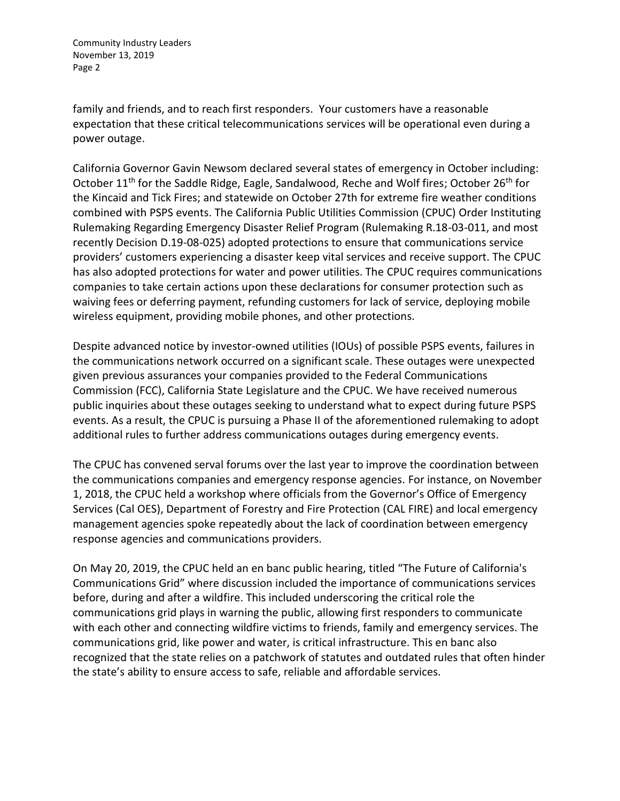family and friends, and to reach first responders. Your customers have a reasonable expectation that these critical telecommunications services will be operational even during a power outage.

California Governor Gavin Newsom declared several states of emergency in October including: October 11<sup>th</sup> for the Saddle Ridge, Eagle, Sandalwood, Reche and Wolf fires; October 26<sup>th</sup> for the Kincaid and Tick Fires; and statewide on October 27th for extreme fire weather conditions combined with PSPS events. The California Public Utilities Commission (CPUC) Order Instituting Rulemaking Regarding Emergency Disaster Relief Program (Rulemaking R.18-03-011, and most recently Decision D.19-08-025) adopted protections to ensure that communications service providers' customers experiencing a disaster keep vital services and receive support. The CPUC has also adopted protections for water and power utilities. The CPUC requires communications companies to take certain actions upon these declarations for consumer protection such as waiving fees or deferring payment, refunding customers for lack of service, deploying mobile wireless equipment, providing mobile phones, and other protections.

Despite advanced notice by investor-owned utilities (IOUs) of possible PSPS events, failures in the communications network occurred on a significant scale. These outages were unexpected given previous assurances your companies provided to the Federal Communications Commission (FCC), California State Legislature and the CPUC. We have received numerous public inquiries about these outages seeking to understand what to expect during future PSPS events. As a result, the CPUC is pursuing a Phase II of the aforementioned rulemaking to adopt additional rules to further address communications outages during emergency events.

The CPUC has convened serval forums over the last year to improve the coordination between the communications companies and emergency response agencies. For instance, on November 1, 2018, the CPUC held a workshop where officials from the Governor's Office of Emergency Services (Cal OES), Department of Forestry and Fire Protection (CAL FIRE) and local emergency management agencies spoke repeatedly about the lack of coordination between emergency response agencies and communications providers.

On May 20, 2019, the CPUC held an en banc public hearing, titled "The Future of California's Communications Grid" where discussion included the importance of communications services before, during and after a wildfire. This included underscoring the critical role the communications grid plays in warning the public, allowing first responders to communicate with each other and connecting wildfire victims to friends, family and emergency services. The communications grid, like power and water, is critical infrastructure. This en banc also recognized that the state relies on a patchwork of statutes and outdated rules that often hinder the state's ability to ensure access to safe, reliable and affordable services.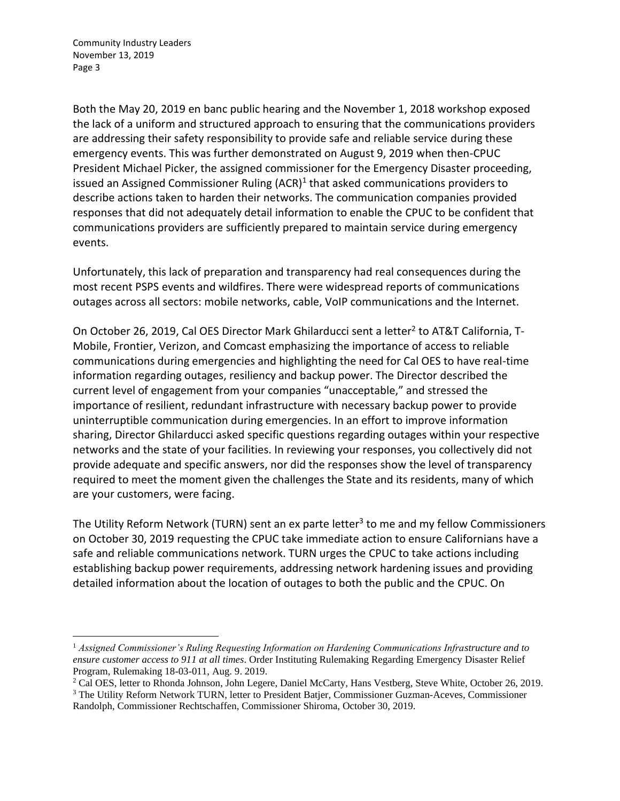Both the May 20, 2019 en banc public hearing and the November 1, 2018 workshop exposed the lack of a uniform and structured approach to ensuring that the communications providers are addressing their safety responsibility to provide safe and reliable service during these emergency events. This was further demonstrated on August 9, 2019 when then-CPUC President Michael Picker, the assigned commissioner for the Emergency Disaster proceeding, issued an Assigned Commissioner Ruling (ACR)<sup>1</sup> that asked communications providers to describe actions taken to harden their networks. The communication companies provided responses that did not adequately detail information to enable the CPUC to be confident that communications providers are sufficiently prepared to maintain service during emergency events.

Unfortunately, this lack of preparation and transparency had real consequences during the most recent PSPS events and wildfires. There were widespread reports of communications outages across all sectors: mobile networks, cable, VoIP communications and the Internet.

On October 26, 2019, Cal OES Director Mark Ghilarducci sent a letter<sup>2</sup> to AT&T California, T-Mobile, Frontier, Verizon, and Comcast emphasizing the importance of access to reliable communications during emergencies and highlighting the need for Cal OES to have real-time information regarding outages, resiliency and backup power. The Director described the current level of engagement from your companies "unacceptable," and stressed the importance of resilient, redundant infrastructure with necessary backup power to provide uninterruptible communication during emergencies. In an effort to improve information sharing, Director Ghilarducci asked specific questions regarding outages within your respective networks and the state of your facilities. In reviewing your responses, you collectively did not provide adequate and specific answers, nor did the responses show the level of transparency required to meet the moment given the challenges the State and its residents, many of which are your customers, were facing.

The Utility Reform Network (TURN) sent an ex parte letter<sup>3</sup> to me and my fellow Commissioners on October 30, 2019 requesting the CPUC take immediate action to ensure Californians have a safe and reliable communications network. TURN urges the CPUC to take actions including establishing backup power requirements, addressing network hardening issues and providing detailed information about the location of outages to both the public and the CPUC. On

<sup>1</sup> *Assigned Commissioner's Ruling Requesting Information on Hardening Communications Infrastructure and to ensure customer access to 911 at all times*. Order Instituting Rulemaking Regarding Emergency Disaster Relief Program, Rulemaking 18-03-011, Aug. 9. 2019.

<sup>2</sup> Cal OES, letter to Rhonda Johnson, John Legere, Daniel McCarty, Hans Vestberg, Steve White, October 26, 2019.

<sup>3</sup> The Utility Reform Network TURN, letter to President Batjer, Commissioner Guzman-Aceves, Commissioner Randolph, Commissioner Rechtschaffen, Commissioner Shiroma, October 30, 2019.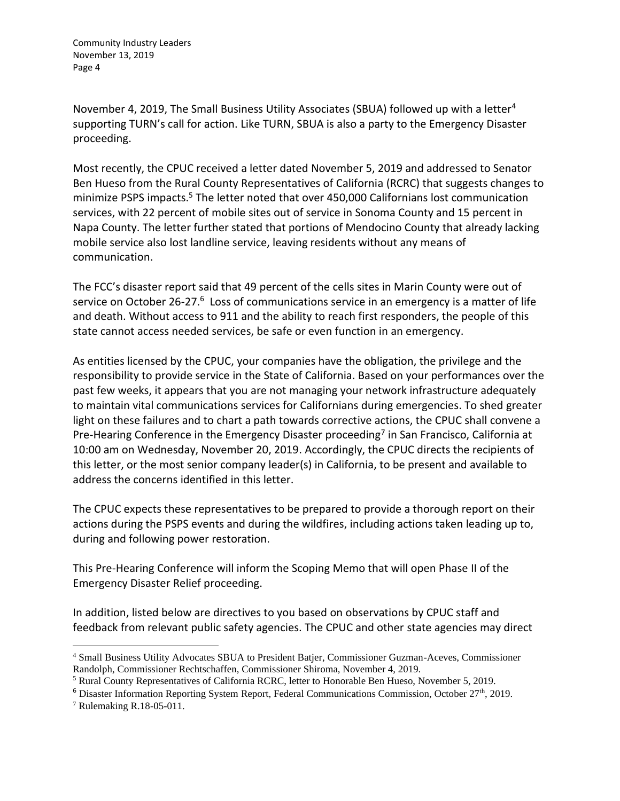November 4, 2019, The Small Business Utility Associates (SBUA) followed up with a letter<sup>4</sup> supporting TURN's call for action. Like TURN, SBUA is also a party to the Emergency Disaster proceeding.

Most recently, the CPUC received a letter dated November 5, 2019 and addressed to Senator Ben Hueso from the Rural County Representatives of California (RCRC) that suggests changes to minimize PSPS impacts.<sup>5</sup> The letter noted that over 450,000 Californians lost communication services, with 22 percent of mobile sites out of service in Sonoma County and 15 percent in Napa County. The letter further stated that portions of Mendocino County that already lacking mobile service also lost landline service, leaving residents without any means of communication.

The FCC's disaster report said that 49 percent of the cells sites in Marin County were out of service on October 26-27.<sup>6</sup> Loss of communications service in an emergency is a matter of life and death. Without access to 911 and the ability to reach first responders, the people of this state cannot access needed services, be safe or even function in an emergency.

As entities licensed by the CPUC, your companies have the obligation, the privilege and the responsibility to provide service in the State of California. Based on your performances over the past few weeks, it appears that you are not managing your network infrastructure adequately to maintain vital communications services for Californians during emergencies. To shed greater light on these failures and to chart a path towards corrective actions, the CPUC shall convene a Pre-Hearing Conference in the Emergency Disaster proceeding<sup>7</sup> in San Francisco, California at 10:00 am on Wednesday, November 20, 2019. Accordingly, the CPUC directs the recipients of this letter, or the most senior company leader(s) in California, to be present and available to address the concerns identified in this letter.

The CPUC expects these representatives to be prepared to provide a thorough report on their actions during the PSPS events and during the wildfires, including actions taken leading up to, during and following power restoration.

This Pre-Hearing Conference will inform the Scoping Memo that will open Phase II of the Emergency Disaster Relief proceeding.

In addition, listed below are directives to you based on observations by CPUC staff and feedback from relevant public safety agencies. The CPUC and other state agencies may direct

<sup>4</sup> Small Business Utility Advocates SBUA to President Batjer, Commissioner Guzman-Aceves, Commissioner Randolph, Commissioner Rechtschaffen, Commissioner Shiroma, November 4, 2019.

<sup>5</sup> Rural County Representatives of California RCRC, letter to Honorable Ben Hueso, November 5, 2019.

 $6$  Disaster Information Reporting System Report, Federal Communications Commission, October  $27<sup>th</sup>$ , 2019.

<sup>7</sup> Rulemaking R.18-05-011.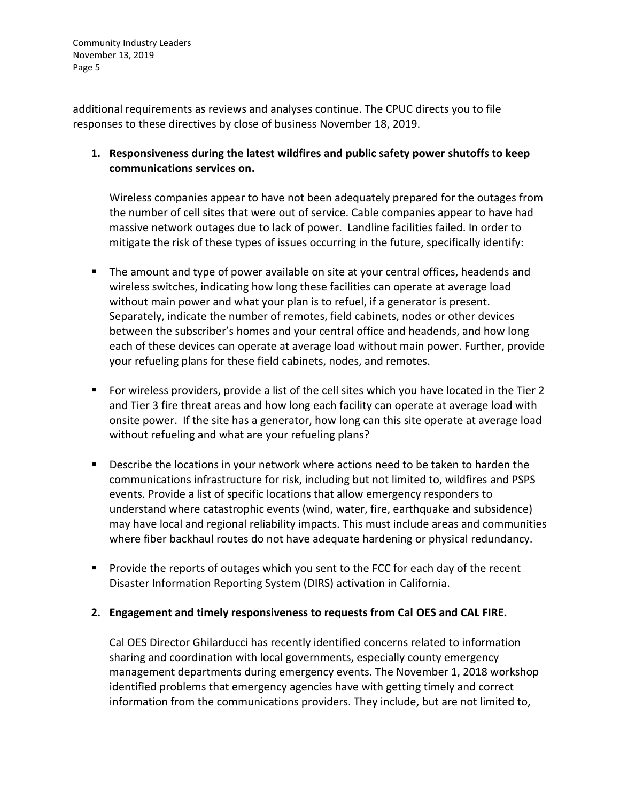additional requirements as reviews and analyses continue. The CPUC directs you to file responses to these directives by close of business November 18, 2019.

**1. Responsiveness during the latest wildfires and public safety power shutoffs to keep communications services on.**

Wireless companies appear to have not been adequately prepared for the outages from the number of cell sites that were out of service. Cable companies appear to have had massive network outages due to lack of power. Landline facilities failed. In order to mitigate the risk of these types of issues occurring in the future, specifically identify:

- The amount and type of power available on site at your central offices, headends and wireless switches, indicating how long these facilities can operate at average load without main power and what your plan is to refuel, if a generator is present. Separately, indicate the number of remotes, field cabinets, nodes or other devices between the subscriber's homes and your central office and headends, and how long each of these devices can operate at average load without main power. Further, provide your refueling plans for these field cabinets, nodes, and remotes.
- For wireless providers, provide a list of the cell sites which you have located in the Tier 2 and Tier 3 fire threat areas and how long each facility can operate at average load with onsite power. If the site has a generator, how long can this site operate at average load without refueling and what are your refueling plans?
- Describe the locations in your network where actions need to be taken to harden the communications infrastructure for risk, including but not limited to, wildfires and PSPS events. Provide a list of specific locations that allow emergency responders to understand where catastrophic events (wind, water, fire, earthquake and subsidence) may have local and regional reliability impacts. This must include areas and communities where fiber backhaul routes do not have adequate hardening or physical redundancy.
- Provide the reports of outages which you sent to the FCC for each day of the recent Disaster Information Reporting System (DIRS) activation in California.

## **2. Engagement and timely responsiveness to requests from Cal OES and CAL FIRE.**

Cal OES Director Ghilarducci has recently identified concerns related to information sharing and coordination with local governments, especially county emergency management departments during emergency events. The November 1, 2018 workshop identified problems that emergency agencies have with getting timely and correct information from the communications providers. They include, but are not limited to,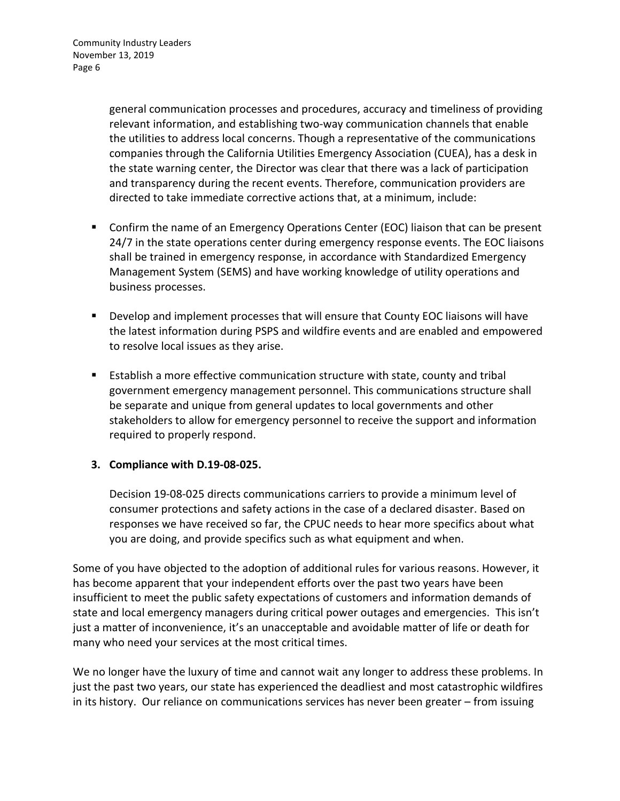general communication processes and procedures, accuracy and timeliness of providing relevant information, and establishing two-way communication channels that enable the utilities to address local concerns. Though a representative of the communications companies through the California Utilities Emergency Association (CUEA), has a desk in the state warning center, the Director was clear that there was a lack of participation and transparency during the recent events. Therefore, communication providers are directed to take immediate corrective actions that, at a minimum, include:

- Confirm the name of an Emergency Operations Center (EOC) liaison that can be present 24/7 in the state operations center during emergency response events. The EOC liaisons shall be trained in emergency response, in accordance with Standardized Emergency Management System (SEMS) and have working knowledge of utility operations and business processes.
- Develop and implement processes that will ensure that County EOC liaisons will have the latest information during PSPS and wildfire events and are enabled and empowered to resolve local issues as they arise.
- Establish a more effective communication structure with state, county and tribal government emergency management personnel. This communications structure shall be separate and unique from general updates to local governments and other stakeholders to allow for emergency personnel to receive the support and information required to properly respond.

## **3. Compliance with D.19-08-025.**

Decision 19-08-025 directs communications carriers to provide a minimum level of consumer protections and safety actions in the case of a declared disaster. Based on responses we have received so far, the CPUC needs to hear more specifics about what you are doing, and provide specifics such as what equipment and when.

Some of you have objected to the adoption of additional rules for various reasons. However, it has become apparent that your independent efforts over the past two years have been insufficient to meet the public safety expectations of customers and information demands of state and local emergency managers during critical power outages and emergencies. This isn't just a matter of inconvenience, it's an unacceptable and avoidable matter of life or death for many who need your services at the most critical times.

We no longer have the luxury of time and cannot wait any longer to address these problems. In just the past two years, our state has experienced the deadliest and most catastrophic wildfires in its history. Our reliance on communications services has never been greater – from issuing